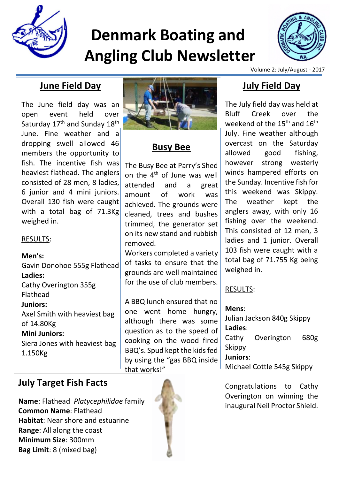

# **Denmark Boating and Angling Club Newsletter**



Volume 2: July/August - 2017

## **June Field Day**

The June field day was an open event held over Saturday 17<sup>th</sup> and Sunday 18<sup>th</sup> June. Fine weather and a dropping swell allowed 46 members the opportunity to fish. The incentive fish was heaviest flathead. The anglers consisted of 28 men, 8 ladies, 6 junior and 4 mini juniors. Overall 130 fish were caught with a total bag of 71.3Kg weighed in.

#### RESULTS:

**Men's:** Gavin Donohoe 555g Flathead **Ladies:** Cathy Overington 355g Flathead **Juniors:** Axel Smith with heaviest bag of 14.80Kg **Mini Juniors:** Siera Jones with heaviest bag

1.150Kg



# **Busy Bee**

The Busy Bee at Parry's Shed on the 4th of June was well attended and a great amount of work was achieved. The grounds were cleaned, trees and bushes trimmed, the generator set on its new stand and rubbish removed.

Workers completed a variety of tasks to ensure that the grounds are well maintained for the use of club members.

A BBQ lunch ensured that no one went home hungry, although there was some question as to the speed of cooking on the wood fired BBQ's. Spud kept the kids fed by using the "gas BBQ inside that works!"

# **July Target Fish Facts**

**Name**: Flathead *Platycephilidae* family **Common Name**: Flathead **Habitat**: Near shore and estuarine **Range**: All along the coast **Minimum Size**: 300mm **Bag Limit**: 8 (mixed bag)



# **July Field Day**

The July field day was held at Bluff Creek over the weekend of the  $15<sup>th</sup>$  and  $16<sup>th</sup>$ July. Fine weather although overcast on the Saturday allowed good fishing, however strong westerly winds hampered efforts on the Sunday. Incentive fish for this weekend was Skippy. The weather kept the anglers away, with only 16 fishing over the weekend. This consisted of 12 men, 3 ladies and 1 junior. Overall 103 fish were caught with a total bag of 71.755 Kg being weighed in.

#### RESULTS:

**Mens**: Julian Jackson 840g Skippy **Ladies**: Cathy Overington 680g Skippy **Juniors**:

Michael Cottle 545g Skippy

Congratulations to Cathy Overington on winning the inaugural Neil Proctor Shield.